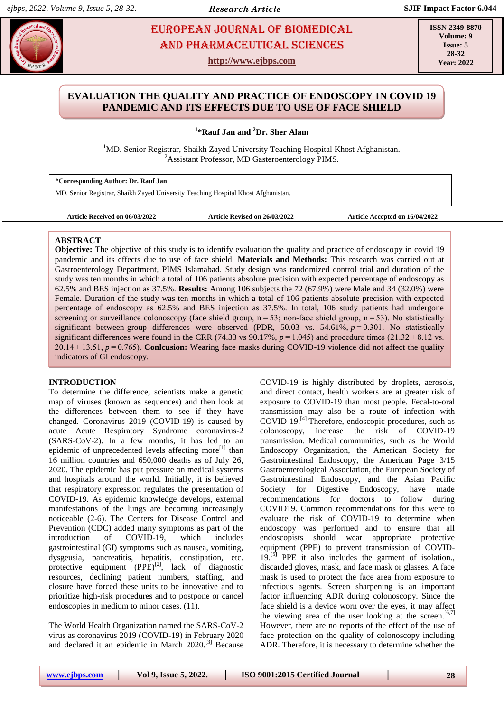# **EUROPEAN JOURNAL OF BIOMEDICAL AND SEX 23** AND Pharmaceutical sciences

**http://www.ejbps.com**

**ISSN 2349-8870 Volume: 9 Issue: 5 28-32 Year: 2022**

## **EVALUATION THE QUALITY AND PRACTICE OF ENDOSCOPY IN COVID 19 PANDEMIC AND ITS EFFECTS DUE TO USE OF FACE SHIELD**

**1 \*Rauf Jan and <sup>2</sup>Dr. Sher Alam**

<sup>1</sup>MD. Senior Registrar, Shaikh Zayed University Teaching Hospital Khost Afghanistan. <sup>2</sup>Assistant Professor, MD Gasteroenterology PIMS.

**\*Corresponding Author: Dr. Rauf Jan**

MD. Senior Registrar, Shaikh Zayed University Teaching Hospital Khost Afghanistan.

**Article Received on 06/03/2022 Article Revised on 26/03/2022 Article Accepted on 16/04/2022**

## **ABSTRACT**

**Objective:** The objective of this study is to identify evaluation the quality and practice of endoscopy in covid 19 pandemic and its effects due to use of face shield. **Materials and Methods:** This research was carried out at Gastroenterology Department, PIMS Islamabad. Study design was randomized control trial and duration of the study was ten months in which a total of 106 patients absolute precision with expected percentage of endoscopy as 62.5% and BES injection as 37.5%. **Results:** Among 106 subjects the 72 (67.9%) were Male and 34 (32.0%) were Female. Duration of the study was ten months in which a total of 106 patients absolute precision with expected percentage of endoscopy as 62.5% and BES injection as 37.5%. In total, 106 study patients had undergone screening or surveillance colonoscopy (face shield group,  $n = 53$ ; non-face shield group,  $n = 53$ ). No statistically significant between-group differences were observed (PDR, 50.03 vs. 54.61%, *p* = 0.301. No statistically significant differences were found in the CRR (74.33 vs 90.17%,  $p = 1.045$ ) and procedure times (21.32 ± 8.12 vs. 20.14 ± 13.51, *p* = 0.765). **Conlcusion:** Wearing face masks during COVID-19 violence did not affect the quality indicators of GI endoscopy.

## **INTRODUCTION**

To determine the difference, scientists make a genetic map of viruses (known as sequences) and then look at the differences between them to see if they have changed. Coronavirus 2019 (COVID-19) is caused by acute Acute Respiratory Syndrome coronavirus-2 (SARS-CoV-2). In a few months, it has led to an epidemic of unprecedented levels affecting more<sup>[1]</sup> than 16 million countries and 650,000 deaths as of July 26, 2020. The epidemic has put pressure on medical systems and hospitals around the world. Initially, it is believed that respiratory expression regulates the presentation of COVID-19. As epidemic knowledge develops, external manifestations of the lungs are becoming increasingly noticeable (2-6). The Centers for Disease Control and Prevention (CDC) added many symptoms as part of the introduction of COVID-19, which includes gastrointestinal (GI) symptoms such as nausea, vomiting, dysgeusia, pancreatitis, hepatitis, constipation, etc. protective equipment  $(PPE)^{[2]}$ , lack of diagnostic resources, declining patient numbers, staffing, and closure have forced these units to be innovative and to prioritize high-risk procedures and to postpone or cancel endoscopies in medium to minor cases. (11).

The World Health Organization named the SARS-CoV-2 virus as coronavirus 2019 (COVID-19) in February 2020 and declared it an epidemic in March 2020.<sup>[3]</sup> Because COVID-19 is highly distributed by droplets, aerosols, and direct contact, health workers are at greater risk of exposure to COVID-19 than most people. Fecal-to-oral transmission may also be a route of infection with COVID-19.[4] Therefore, endoscopic procedures, such as colonoscopy, increase the risk of COVID-19 transmission. Medical communities, such as the World Endoscopy Organization, the American Society for Gastrointestinal Endoscopy, the American Page 3/15 Gastroenterological Association, the European Society of Gastrointestinal Endoscopy, and the Asian Pacific Society for Digestive Endoscopy, have made recommendations for doctors to follow during COVID19. Common recommendations for this were to evaluate the risk of COVID-19 to determine when endoscopy was performed and to ensure that all endoscopists should wear appropriate protective equipment (PPE) to prevent transmission of COVID- $19$ .<sup>[5]</sup> PPE it also includes the garment of isolation., discarded gloves, mask, and face mask or glasses. A face mask is used to protect the face area from exposure to infectious agents. Screen sharpening is an important factor influencing ADR during colonoscopy. Since the face shield is a device worn over the eyes, it may affect the viewing area of the user looking at the screen.<sup>[6,7]</sup> However, there are no reports of the effect of the use of face protection on the quality of colonoscopy including ADR. Therefore, it is necessary to determine whether the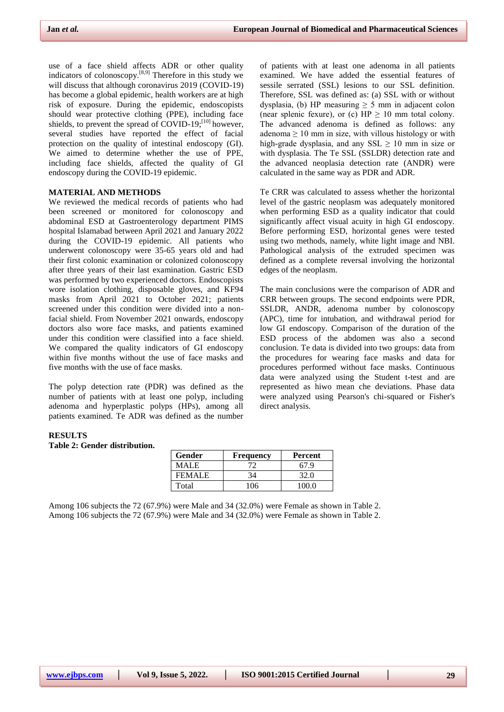use of a face shield affects ADR or other quality indicators of colonoscopy.<sup>[8,9]</sup> Therefore in this study we will discuss that although coronavirus 2019 (COVID-19) has become a global epidemic, health workers are at high risk of exposure. During the epidemic, endoscopists should wear protective clothing (PPE), including face shields, to prevent the spread of COVID-19; $^{[10]}$  however, several studies have reported the effect of facial protection on the quality of intestinal endoscopy (GI). We aimed to determine whether the use of PPE, including face shields, affected the quality of GI endoscopy during the COVID-19 epidemic.

## **MATERIAL AND METHODS**

We reviewed the medical records of patients who had been screened or monitored for colonoscopy and abdominal ESD at Gastroenterology department PIMS hospital Islamabad between April 2021 and January 2022 during the COVID-19 epidemic. All patients who underwent colonoscopy were 35-65 years old and had their first colonic examination or colonized colonoscopy after three years of their last examination. Gastric ESD was performed by two experienced doctors. Endoscopists wore isolation clothing, disposable gloves, and KF94 masks from April 2021 to October 2021; patients screened under this condition were divided into a nonfacial shield. From November 2021 onwards, endoscopy doctors also wore face masks, and patients examined under this condition were classified into a face shield. We compared the quality indicators of GI endoscopy within five months without the use of face masks and five months with the use of face masks.

The polyp detection rate (PDR) was defined as the number of patients with at least one polyp, including adenoma and hyperplastic polyps (HPs), among all patients examined. Te ADR was defined as the number

of patients with at least one adenoma in all patients examined. We have added the essential features of sessile serrated (SSL) lesions to our SSL definition. Therefore, SSL was defined as: (a) SSL with or without dysplasia, (b) HP measuring  $\geq$  5 mm in adjacent colon (near splenic fexure), or (c)  $HP \ge 10$  mm total colony. The advanced adenoma is defined as follows: any adenoma  $\geq 10$  mm in size, with villous histology or with high-grade dysplasia, and any SSL  $\geq$  10 mm in size or with dysplasia. The Te SSL (SSLDR) detection rate and the advanced neoplasia detection rate (ANDR) were calculated in the same way as PDR and ADR.

Te CRR was calculated to assess whether the horizontal level of the gastric neoplasm was adequately monitored when performing ESD as a quality indicator that could significantly affect visual acuity in high GI endoscopy. Before performing ESD, horizontal genes were tested using two methods, namely, white light image and NBI. Pathological analysis of the extruded specimen was defined as a complete reversal involving the horizontal edges of the neoplasm.

The main conclusions were the comparison of ADR and CRR between groups. The second endpoints were PDR, SSLDR, ANDR, adenoma number by colonoscopy (APC), time for intubation, and withdrawal period for low GI endoscopy. Comparison of the duration of the ESD process of the abdomen was also a second conclusion. Te data is divided into two groups: data from the procedures for wearing face masks and data for procedures performed without face masks. Continuous data were analyzed using the Student t-test and are represented as hiwo mean che deviations. Phase data were analyzed using Pearson's chi-squared or Fisher's direct analysis.

### **RESULTS**

#### **Table 2: Gender distribution.**

| Gender  | Frequency | Percent |
|---------|-----------|---------|
| MALE.   |           |         |
| FEMALE. | 34        | 32.0    |
| Total   | 1በ6       | 100 0   |

Among 106 subjects the 72 (67.9%) were Male and 34 (32.0%) were Female as shown in Table 2. Among 106 subjects the 72 (67.9%) were Male and 34 (32.0%) were Female as shown in Table 2.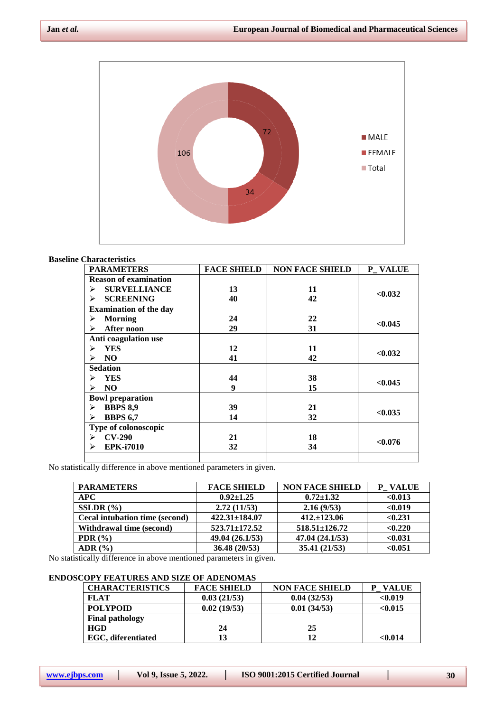

#### **Baseline Characteristics**

| <b>PARAMETERS</b>             | <b>FACE SHIELD</b> | <b>NON FACE SHIELD</b> | P VALUE |
|-------------------------------|--------------------|------------------------|---------|
| <b>Reason of examination</b>  |                    |                        |         |
| <b>SURVELLIANCE</b><br>⋗      | 13                 | 11                     | < 0.032 |
| <b>SCREENING</b><br>➤         | 40                 | 42                     |         |
| <b>Examination of the day</b> |                    |                        |         |
| <b>Morning</b><br>⋗           | 24                 | 22                     |         |
| <b>After noon</b><br>⋗        | 29                 | 31                     | < 0.045 |
| Anti coagulation use          |                    |                        |         |
| <b>YES</b><br>➤               | 12                 | 11                     |         |
| N <sub>O</sub><br>⋗           | 41                 | 42                     | < 0.032 |
| <b>Sedation</b>               |                    |                        |         |
| <b>YES</b><br>⋗               | 44                 | 38                     |         |
| N <sub>O</sub><br>⋗           | 9                  | 15                     | < 0.045 |
| <b>Bowl preparation</b>       |                    |                        |         |
| <b>BBPS 8,9</b><br>⋗          | 39                 | 21                     |         |
| <b>BBPS 6,7</b><br>⋗          | 14                 | 32                     | < 0.035 |
| Type of colonoscopic          |                    |                        |         |
| <b>CV-290</b><br>⋗            | 21                 | 18                     |         |
| <b>EPK-i7010</b><br>⋗         | 32                 | 34                     | < 0.076 |
|                               |                    |                        |         |

No statistically difference in above mentioned parameters in given.

| <b>PARAMETERS</b>                     | <b>FACE SHIELD</b>  | <b>NON FACE SHIELD</b> | P VALUE |
|---------------------------------------|---------------------|------------------------|---------|
| <b>APC</b>                            | $0.92 \pm 1.25$     | $0.72 \pm 1.32$        | < 0.013 |
| $SSLDR$ $(%)$                         | 2.72(11/53)         | 2.16(9/53)             | < 0.019 |
| <b>Cecal intubation time (second)</b> | $422.31 \pm 184.07$ | $412.+123.06$          | < 0.231 |
| Withdrawal time (second)              | $523.71 \pm 172.52$ | $518.51 \pm 126.72$    | < 0.220 |
| PDR $(\% )$                           | 49.04 (26.1/53)     | 47.04 (24.1/53)        | < 0.031 |
| ADR $(\% )$                           | 36.48(20/53)        | 35.41(21/53)           | < 0.051 |

No statistically difference in above mentioned parameters in given.

## **ENDOSCOPY FEATURES AND SIZE OF ADENOMAS**

| <b>CHARACTERISTICS</b> | <b>FACE SHIELD</b> | <b>NON FACE SHIELD</b> | <b>VALUE</b> |
|------------------------|--------------------|------------------------|--------------|
| <b>FLAT</b>            | 0.03(21/53)        | 0.04(32/53)            | < 0.019      |
| <b>POLYPOID</b>        | 0.02(19/53)        | 0.01(34/53)            | < 0.015      |
| <b>Final pathology</b> |                    |                        |              |
| <b>HGD</b>             | 24                 | 25                     |              |
| EGC. diferentiated     | 13                 | 12                     | <0.014       |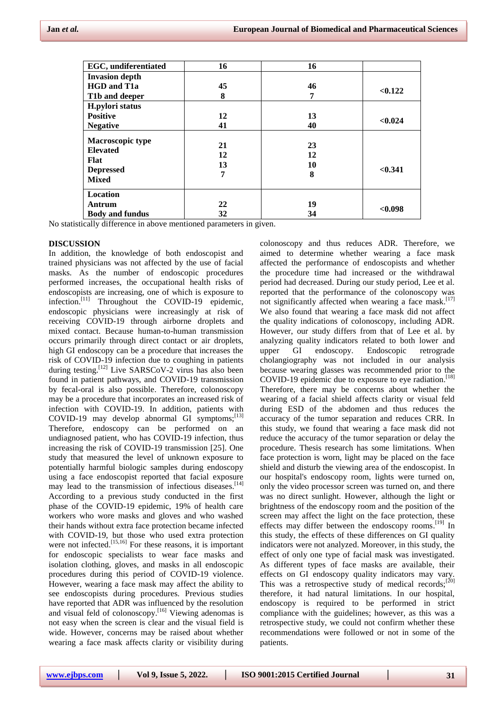| <b>EGC</b> , undiferentiated | 16 | 16 |         |
|------------------------------|----|----|---------|
| <b>Invasion depth</b>        |    |    |         |
| <b>HGD</b> and T1a           | 45 | 46 |         |
| T1b and deeper               | 8  | 7  | < 0.122 |
| H.pylori status              |    |    |         |
| <b>Positive</b>              | 12 | 13 |         |
| <b>Negative</b>              | 41 | 40 | < 0.024 |
| <b>Macroscopic type</b>      |    |    |         |
| <b>Elevated</b>              | 21 | 23 |         |
| Flat                         | 12 | 12 |         |
|                              | 13 | 10 | < 0.341 |
| <b>Depressed</b>             | 7  | 8  |         |
| <b>Mixed</b>                 |    |    |         |
| <b>Location</b>              |    |    |         |
| Antrum                       | 22 | 19 |         |
| <b>Body and fundus</b>       | 32 | 34 | < 0.098 |

No statistically difference in above mentioned parameters in given.

#### **DISCUSSION**

In addition, the knowledge of both endoscopist and trained physicians was not affected by the use of facial masks. As the number of endoscopic procedures performed increases, the occupational health risks of endoscopists are increasing, one of which is exposure to infection. [11] Throughout the COVID-19 epidemic, endoscopic physicians were increasingly at risk of receiving COVID-19 through airborne droplets and mixed contact. Because human-to-human transmission occurs primarily through direct contact or air droplets, high GI endoscopy can be a procedure that increases the risk of COVID-19 infection due to coughing in patients during testing.<sup>[12]</sup> Live SARSCoV-2 virus has also been found in patient pathways, and COVID-19 transmission by fecal-oral is also possible. Therefore, colonoscopy may be a procedure that incorporates an increased risk of infection with COVID-19. In addition, patients with COVID-19 may develop abnormal GI symptoms; $[13]$ Therefore, endoscopy can be performed on an undiagnosed patient, who has COVID-19 infection, thus increasing the risk of COVID-19 transmission [25]. One study that measured the level of unknown exposure to potentially harmful biologic samples during endoscopy using a face endoscopist reported that facial exposure may lead to the transmission of infectious diseases. [14] According to a previous study conducted in the first phase of the COVID-19 epidemic, 19% of health care workers who wore masks and gloves and who washed their hands without extra face protection became infected with COVID-19, but those who used extra protection were not infected.<sup>[15,16]</sup> For these reasons, it is important for endoscopic specialists to wear face masks and isolation clothing, gloves, and masks in all endoscopic procedures during this period of COVID-19 violence. However, wearing a face mask may affect the ability to see endoscopists during procedures. Previous studies have reported that ADR was influenced by the resolution and visual feld of colonoscopy.<sup>[16]</sup> Viewing adenomas is not easy when the screen is clear and the visual field is wide. However, concerns may be raised about whether wearing a face mask affects clarity or visibility during

colonoscopy and thus reduces ADR. Therefore, we aimed to determine whether wearing a face mask affected the performance of endoscopists and whether the procedure time had increased or the withdrawal period had decreased. During our study period, Lee et al. reported that the performance of the colonoscopy was not significantly affected when wearing a face mask. [17] We also found that wearing a face mask did not affect the quality indications of colonoscopy, including ADR. However, our study differs from that of Lee et al. by analyzing quality indicators related to both lower and upper GI endoscopy. Endoscopic retrograde cholangiography was not included in our analysis because wearing glasses was recommended prior to the COVID-19 epidemic due to exposure to eye radiation. [18] Therefore, there may be concerns about whether the wearing of a facial shield affects clarity or visual feld during ESD of the abdomen and thus reduces the accuracy of the tumor separation and reduces CRR. In this study, we found that wearing a face mask did not reduce the accuracy of the tumor separation or delay the procedure. Thesis research has some limitations. When face protection is worn, light may be placed on the face shield and disturb the viewing area of the endoscopist. In our hospital's endoscopy room, lights were turned on, only the video processor screen was turned on, and there was no direct sunlight. However, although the light or brightness of the endoscopy room and the position of the screen may affect the light on the face protection, these effects may differ between the endoscopy rooms.<sup>[19]</sup> In this study, the effects of these differences on GI quality indicators were not analyzed. Moreover, in this study, the effect of only one type of facial mask was investigated. As different types of face masks are available, their effects on GI endoscopy quality indicators may vary. This was a retrospective study of medical records;<sup>[20]</sup> therefore, it had natural limitations. In our hospital, endoscopy is required to be performed in strict compliance with the guidelines; however, as this was a retrospective study, we could not confirm whether these recommendations were followed or not in some of the patients.